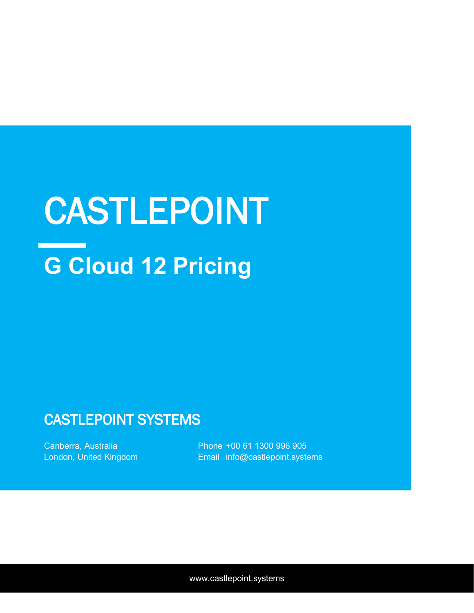# **G Cloud 12 Pricing** CASTLEPOINT

## CASTLEPOINT SYSTEMS

Canberra, Australia London, United Kingdom Phone +00 61 1300 996 905 Email info@castlepoint.systems

www.castlepoint.systems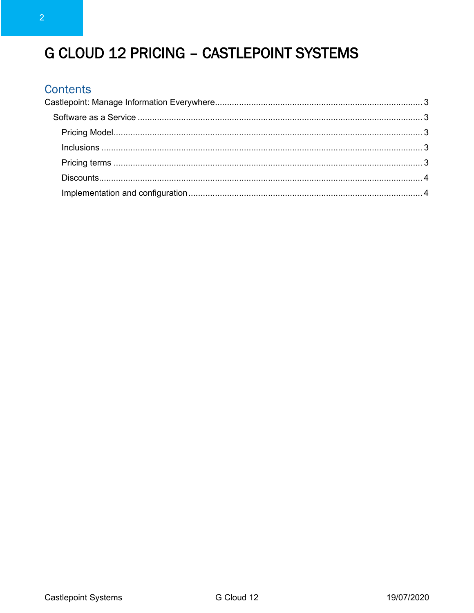## G CLOUD 12 PRICING - CASTLEPOINT SYSTEMS

### **Contents**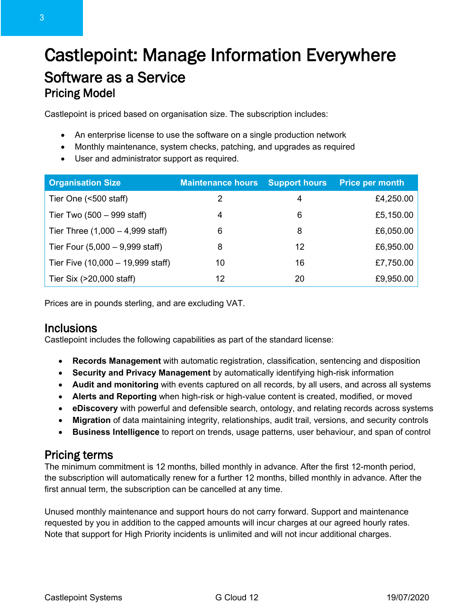## <span id="page-2-1"></span><span id="page-2-0"></span>Castlepoint: Manage Information Everywhere Software as a Service Pricing Model

<span id="page-2-2"></span>Castlepoint is priced based on organisation size. The subscription includes:

- An enterprise license to use the software on a single production network
- Monthly maintenance, system checks, patching, and upgrades as required
- User and administrator support as required.

| <b>Organisation Size</b>                    | <b>Maintenance hours</b> | <b>Support hours</b> | <b>Price per month</b> |
|---------------------------------------------|--------------------------|----------------------|------------------------|
| Tier One (<500 staff)                       | 2                        | 4                    | £4,250.00              |
| Tier Two $(500 - 999 \text{ staff})$        | 4                        | 6                    | £5,150.00              |
| Tier Three $(1,000 - 4,999 \text{ staff})$  | 6                        | 8                    | £6,050.00              |
| Tier Four $(5,000 - 9,999 \text{ staff})$   | 8                        | 12                   | £6,950.00              |
| Tier Five $(10,000 - 19,999 \text{ staff})$ | 10                       | 16                   | £7,750.00              |
| Tier Six (>20,000 staff)                    | 12                       | 20                   | £9,950.00              |

Prices are in pounds sterling, and are excluding VAT.

#### <span id="page-2-3"></span>**Inclusions**

Castlepoint includes the following capabilities as part of the standard license:

- **Records Management** with automatic registration, classification, sentencing and disposition
- **Security and Privacy Management** by automatically identifying high-risk information
- **Audit and monitoring** with events captured on all records, by all users, and across all systems
- **Alerts and Reporting** when high-risk or high-value content is created, modified, or moved
- **eDiscovery** with powerful and defensible search, ontology, and relating records across systems
- **Migration** of data maintaining integrity, relationships, audit trail, versions, and security controls
- **Business Intelligence** to report on trends, usage patterns, user behaviour, and span of control

#### <span id="page-2-4"></span>Pricing terms

The minimum commitment is 12 months, billed monthly in advance. After the first 12-month period, the subscription will automatically renew for a further 12 months, billed monthly in advance. After the first annual term, the subscription can be cancelled at any time.

Unused monthly maintenance and support hours do not carry forward. Support and maintenance requested by you in addition to the capped amounts will incur charges at our agreed hourly rates. Note that support for High Priority incidents is unlimited and will not incur additional charges.